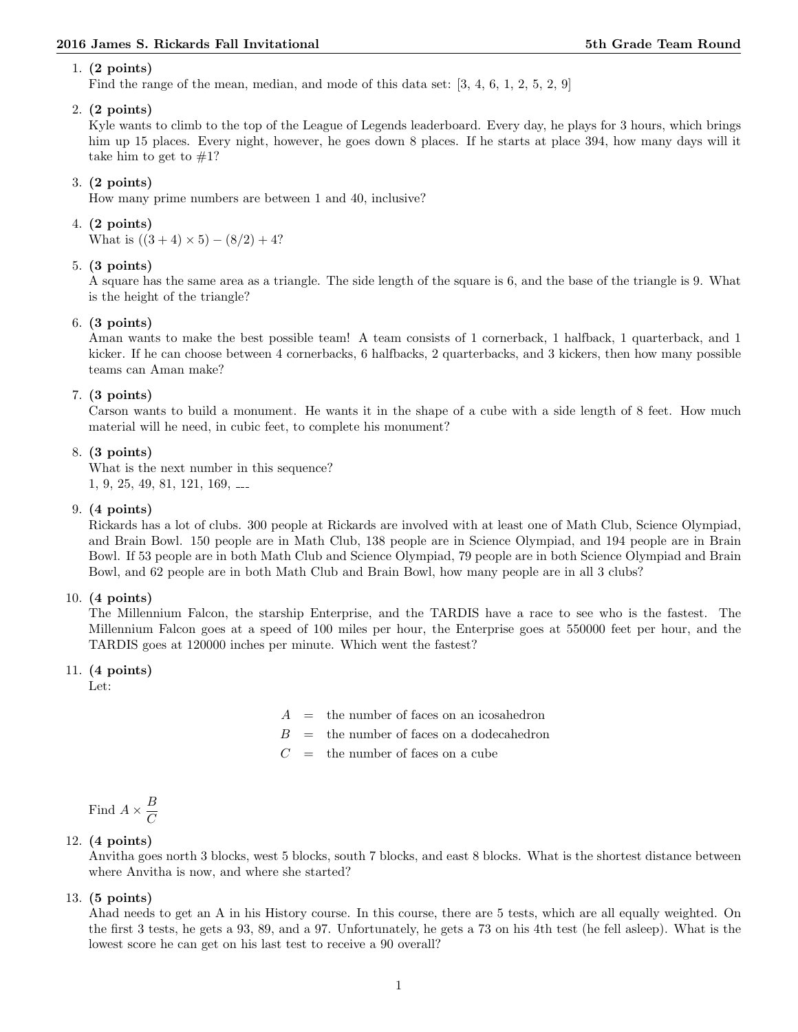#### 1. (2 points)

Find the range of the mean, median, and mode of this data set: [3, 4, 6, 1, 2, 5, 2, 9]

# 2. (2 points)

Kyle wants to climb to the top of the League of Legends leaderboard. Every day, he plays for 3 hours, which brings him up 15 places. Every night, however, he goes down 8 places. If he starts at place 394, how many days will it take him to get to  $#1?$ 

# 3. (2 points)

How many prime numbers are between 1 and 40, inclusive?

# 4. (2 points)

What is  $((3 + 4) \times 5) - (8/2) + 4$ ?

# 5. (3 points)

A square has the same area as a triangle. The side length of the square is 6, and the base of the triangle is 9. What is the height of the triangle?

#### 6. (3 points)

Aman wants to make the best possible team! A team consists of 1 cornerback, 1 halfback, 1 quarterback, and 1 kicker. If he can choose between 4 cornerbacks, 6 halfbacks, 2 quarterbacks, and 3 kickers, then how many possible teams can Aman make?

#### 7. (3 points)

Carson wants to build a monument. He wants it in the shape of a cube with a side length of 8 feet. How much material will he need, in cubic feet, to complete his monument?

# 8. (3 points)

What is the next number in this sequence? 1, 9, 25, 49, 81, 121, 169,

### 9. (4 points)

Rickards has a lot of clubs. 300 people at Rickards are involved with at least one of Math Club, Science Olympiad, and Brain Bowl. 150 people are in Math Club, 138 people are in Science Olympiad, and 194 people are in Brain Bowl. If 53 people are in both Math Club and Science Olympiad, 79 people are in both Science Olympiad and Brain Bowl, and 62 people are in both Math Club and Brain Bowl, how many people are in all 3 clubs?

#### 10. (4 points)

The Millennium Falcon, the starship Enterprise, and the TARDIS have a race to see who is the fastest. The Millennium Falcon goes at a speed of 100 miles per hour, the Enterprise goes at 550000 feet per hour, and the TARDIS goes at 120000 inches per minute. Which went the fastest?

#### 11. (4 points)

Let:

- $A =$  the number of faces on an icosahedron
- $B =$  the number of faces on a dodecahedron
- $C =$  the number of faces on a cube

# Find  $A \times \frac{B}{Q}$  $\mathcal{C}_{0}^{(n)}$

# 12. (4 points)

Anvitha goes north 3 blocks, west 5 blocks, south 7 blocks, and east 8 blocks. What is the shortest distance between where Anvitha is now, and where she started?

#### 13. (5 points)

Ahad needs to get an A in his History course. In this course, there are 5 tests, which are all equally weighted. On the first 3 tests, he gets a 93, 89, and a 97. Unfortunately, he gets a 73 on his 4th test (he fell asleep). What is the lowest score he can get on his last test to receive a 90 overall?